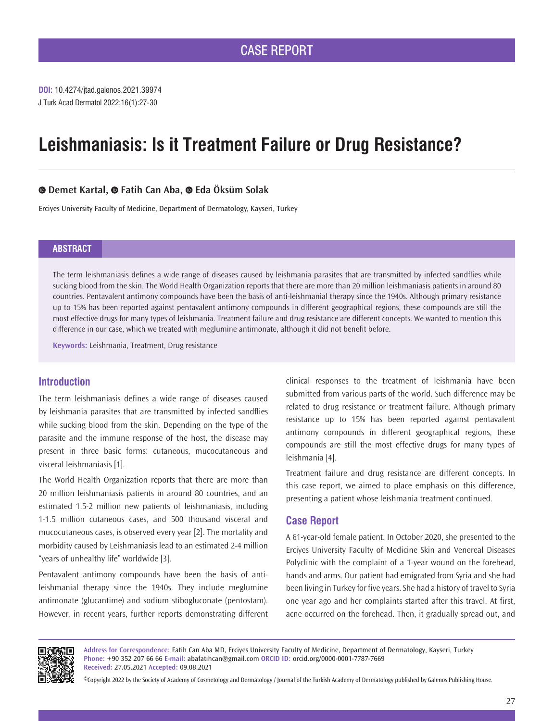J Turk Acad Dermatol 2022;16(1):27-30 **DOI:** 10.4274/jtad.galenos.2021.39974

# **Leishmaniasis: Is it Treatment Failure or Drug Resistance?**

## **Demet Kartal,Fatih Can Aba,Eda Öksüm Solak**

Erciyes University Faculty of Medicine, Department of Dermatology, Kayseri, Turkey

#### **ABSTRACT**

The term leishmaniasis defines a wide range of diseases caused by leishmania parasites that are transmitted by infected sandflies while sucking blood from the skin. The World Health Organization reports that there are more than 20 million leishmaniasis patients in around 80 countries. Pentavalent antimony compounds have been the basis of anti-leishmanial therapy since the 1940s. Although primary resistance up to 15% has been reported against pentavalent antimony compounds in different geographical regions, these compounds are still the most effective drugs for many types of leishmania. Treatment failure and drug resistance are different concepts. We wanted to mention this difference in our case, which we treated with meglumine antimonate, although it did not benefit before.

**Keywords:** Leishmania, Treatment, Drug resistance

### **Introduction**

The term leishmaniasis defines a wide range of diseases caused by leishmania parasites that are transmitted by infected sandflies while sucking blood from the skin. Depending on the type of the parasite and the immune response of the host, the disease may present in three basic forms: cutaneous, mucocutaneous and visceral leishmaniasis [1].

The World Health Organization reports that there are more than 20 million leishmaniasis patients in around 80 countries, and an estimated 1.5-2 million new patients of leishmaniasis, including 1-1.5 million cutaneous cases, and 500 thousand visceral and mucocutaneous cases, is observed every year [2]. The mortality and morbidity caused by Leishmaniasis lead to an estimated 2-4 million "years of unhealthy life" worldwide [3].

Pentavalent antimony compounds have been the basis of antileishmanial therapy since the 1940s. They include meglumine antimonate (glucantime) and sodium stibogluconate (pentostam). However, in recent years, further reports demonstrating different

clinical responses to the treatment of leishmania have been submitted from various parts of the world. Such difference may be related to drug resistance or treatment failure. Although primary resistance up to 15% has been reported against pentavalent antimony compounds in different geographical regions, these compounds are still the most effective drugs for many types of leishmania [4].

Treatment failure and drug resistance are different concepts. In this case report, we aimed to place emphasis on this difference, presenting a patient whose leishmania treatment continued.

#### **Case Report**

A 61-year-old female patient. In October 2020, she presented to the Erciyes University Faculty of Medicine Skin and Venereal Diseases Polyclinic with the complaint of a 1-year wound on the forehead, hands and arms. Our patient had emigrated from Syria and she had been living in Turkey for five years. She had a history of travel to Syria one year ago and her complaints started after this travel. At first, acne occurred on the forehead. Then, it gradually spread out, and



**Address for Correspondence:** Fatih Can Aba MD, Erciyes University Faculty of Medicine, Department of Dermatology, Kayseri, Turkey **Phone:** +90 352 207 66 66 **E-mail:** abafatihcan@gmail.com **ORCID ID:** orcid.org/0000-0001-7787-7669 **Received:** 27.05.2021 **Accepted:** 09.08.2021

©Copyright 2022 by the Society of Academy of Cosmetology and Dermatology / Journal of the Turkish Academy of Dermatology published by Galenos Publishing House.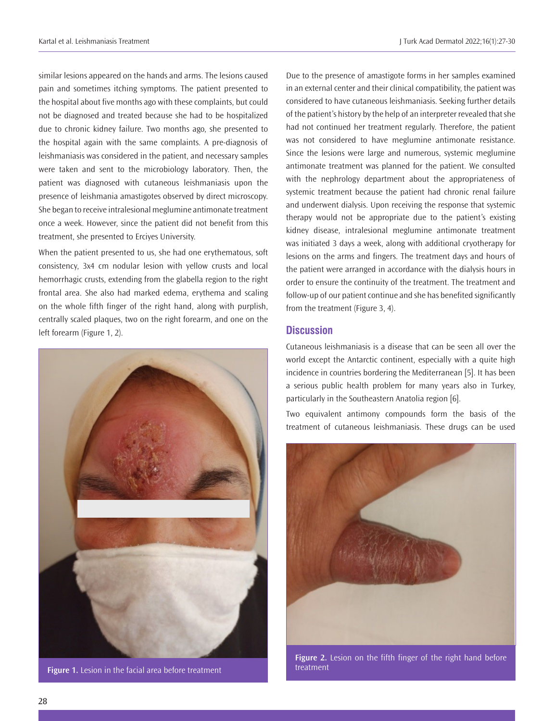similar lesions appeared on the hands and arms. The lesions caused pain and sometimes itching symptoms. The patient presented to the hospital about five months ago with these complaints, but could not be diagnosed and treated because she had to be hospitalized due to chronic kidney failure. Two months ago, she presented to the hospital again with the same complaints. A pre-diagnosis of leishmaniasis was considered in the patient, and necessary samples were taken and sent to the microbiology laboratory. Then, the patient was diagnosed with cutaneous leishmaniasis upon the presence of leishmania amastigotes observed by direct microscopy. She began to receive intralesional meglumine antimonate treatment once a week. However, since the patient did not benefit from this treatment, she presented to Erciyes University.

When the patient presented to us, she had one erythematous, soft consistency, 3x4 cm nodular lesion with yellow crusts and local hemorrhagic crusts, extending from the glabella region to the right frontal area. She also had marked edema, erythema and scaling on the whole fifth finger of the right hand, along with purplish, centrally scaled plaques, two on the right forearm, and one on the left forearm (Figure 1, 2).



**Figure 1.** Lesion in the facial area before treatment

Due to the presence of amastigote forms in her samples examined in an external center and their clinical compatibility, the patient was considered to have cutaneous leishmaniasis. Seeking further details of the patient's history by the help of an interpreter revealed that she had not continued her treatment regularly. Therefore, the patient was not considered to have meglumine antimonate resistance. Since the lesions were large and numerous, systemic meglumine antimonate treatment was planned for the patient. We consulted with the nephrology department about the appropriateness of systemic treatment because the patient had chronic renal failure and underwent dialysis. Upon receiving the response that systemic therapy would not be appropriate due to the patient's existing kidney disease, intralesional meglumine antimonate treatment was initiated 3 days a week, along with additional cryotherapy for lesions on the arms and fingers. The treatment days and hours of the patient were arranged in accordance with the dialysis hours in order to ensure the continuity of the treatment. The treatment and follow-up of our patient continue and she has benefited significantly from the treatment (Figure 3, 4).

#### **Discussion**

Cutaneous leishmaniasis is a disease that can be seen all over the world except the Antarctic continent, especially with a quite high incidence in countries bordering the Mediterranean [5]. It has been a serious public health problem for many years also in Turkey, particularly in the Southeastern Anatolia region [6].

Two equivalent antimony compounds form the basis of the treatment of cutaneous leishmaniasis. These drugs can be used



**Figure 2.** Lesion on the fifth finger of the right hand before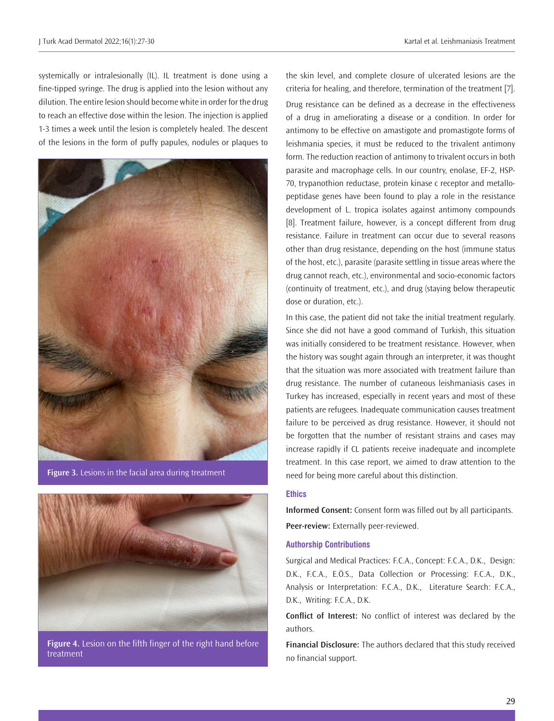systemically or intralesionally (IL). IL treatment is done using a fine-tipped syringe. The drug is applied into the lesion without any dilution. The entire lesion should become white in order for the drug to reach an effective dose within the lesion. The injection is applied 1-3 times a week until the lesion is completely healed. The descent of the lesions in the form of puffy papules, nodules or plaques to



**Figure 3.** Lesions in the facial area during treatment



**Figure 4.** Lesion on the fifth finger of the right hand before treatment

the skin level, and complete closure of ulcerated lesions are the criteria for healing, and therefore, termination of the treatment [7]. Drug resistance can be defined as a decrease in the effectiveness of a drug in ameliorating a disease or a condition. In order for antimony to be effective on amastigote and promastigote forms of leishmania species, it must be reduced to the trivalent antimony form. The reduction reaction of antimony to trivalent occurs in both parasite and macrophage cells. In our country, enolase, EF-2, HSP-70, trypanothion reductase, protein kinase c receptor and metallopeptidase genes have been found to play a role in the resistance development of L. tropica isolates against antimony compounds [8]. Treatment failure, however, is a concept different from drug resistance. Failure in treatment can occur due to several reasons other than drug resistance, depending on the host (immune status of the host, etc.), parasite (parasite settling in tissue areas where the drug cannot reach, etc.), environmental and socio-economic factors (continuity of treatment, etc.), and drug (staying below therapeutic dose or duration, etc.).

In this case, the patient did not take the initial treatment regularly. Since she did not have a good command of Turkish, this situation was initially considered to be treatment resistance. However, when the history was sought again through an interpreter, it was thought that the situation was more associated with treatment failure than drug resistance. The number of cutaneous leishmaniasis cases in Turkey has increased, especially in recent years and most of these patients are refugees. Inadequate communication causes treatment failure to be perceived as drug resistance. However, it should not be forgotten that the number of resistant strains and cases may increase rapidly if CL patients receive inadequate and incomplete treatment. In this case report, we aimed to draw attention to the need for being more careful about this distinction.

#### **Ethics**

**Informed Consent:** Consent form was filled out by all participants. **Peer-review:** Externally peer-reviewed.

#### **Authorship Contributions**

Surgical and Medical Practices: F.C.A., Concept: F.C.A., D.K., Design: D.K., F.C.A., E.Ö.S., Data Collection or Processing: F.C.A., D.K., Analysis or Interpretation: F.C.A., D.K., Literature Search: F.C.A., D.K., Writing: F.C.A., D.K.

**Conflict of Interest:** No conflict of interest was declared by the authors.

**Financial Disclosure:** The authors declared that this study received no financial support.